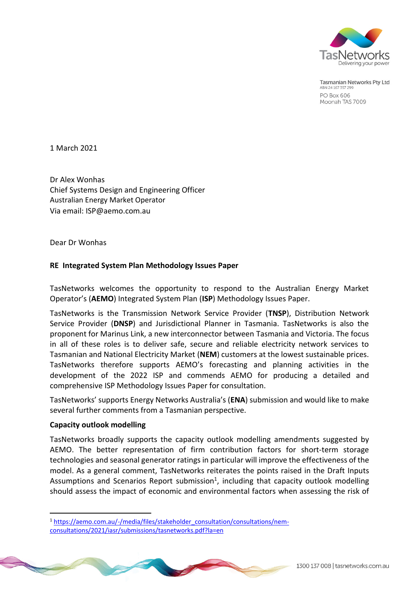

**Tasmanian Networks Pty Ltd** ABN 24 167 357 299 **PO Box 606** Moonah TAS 7009

1 March 2021

Dr Alex Wonhas Chief Systems Design and Engineering Officer Australian Energy Market Operator Via email[: ISP@aemo.com.au](mailto:ISP@aemo.com.au)

Dear Dr Wonhas

#### **RE Integrated System Plan Methodology Issues Paper**

TasNetworks welcomes the opportunity to respond to the Australian Energy Market Operator's (**AEMO**) Integrated System Plan (**ISP**) Methodology Issues Paper.

TasNetworks is the Transmission Network Service Provider (**TNSP**), Distribution Network Service Provider (**DNSP**) and Jurisdictional Planner in Tasmania. TasNetworks is also the proponent for Marinus Link, a new interconnector between Tasmania and Victoria. The focus in all of these roles is to deliver safe, secure and reliable electricity network services to Tasmanian and National Electricity Market (**NEM**) customers at the lowest sustainable prices. TasNetworks therefore supports AEMO's forecasting and planning activities in the development of the 2022 ISP and commends AEMO for producing a detailed and comprehensive ISP Methodology Issues Paper for consultation.

TasNetworks' supports Energy Networks Australia's (**ENA**) submission and would like to make several further comments from a Tasmanian perspective.

#### **Capacity outlook modelling**

 $\overline{a}$ 

TasNetworks broadly supports the capacity outlook modelling amendments suggested by AEMO. The better representation of firm contribution factors for short-term storage technologies and seasonal generator ratings in particular will improve the effectiveness of the model. As a general comment, TasNetworks reiterates the points raised in the Draft Inputs Assumptions and Scenarios Report submission<sup>1</sup>, including that capacity outlook modelling should assess the impact of economic and environmental factors when assessing the risk of

<sup>&</sup>lt;sup>1</sup> [https://aemo.com.au/-/media/files/stakeholder\\_consultation/consultations/nem](https://aemo.com.au/-/media/files/stakeholder_consultation/consultations/nem-consultations/2021/iasr/submissions/tasnetworks.pdf?la=en)[consultations/2021/iasr/submissions/tasnetworks.pdf?la=en](https://aemo.com.au/-/media/files/stakeholder_consultation/consultations/nem-consultations/2021/iasr/submissions/tasnetworks.pdf?la=en)

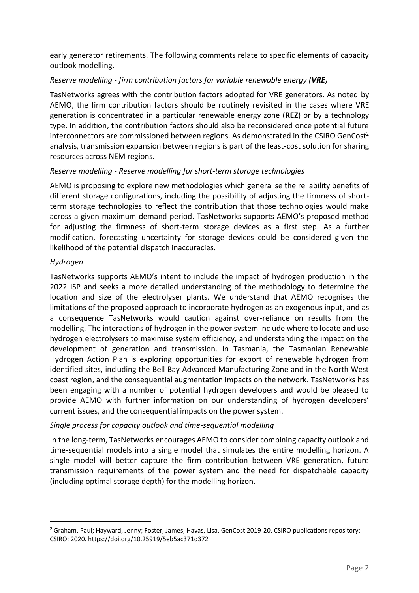early generator retirements. The following comments relate to specific elements of capacity outlook modelling.

# *Reserve modelling - firm contribution factors for variable renewable energy (VRE)*

TasNetworks agrees with the contribution factors adopted for VRE generators. As noted by AEMO, the firm contribution factors should be routinely revisited in the cases where VRE generation is concentrated in a particular renewable energy zone (**REZ**) or by a technology type. In addition, the contribution factors should also be reconsidered once potential future interconnectors are commissioned between regions. As demonstrated in the CSIRO GenCost<sup>2</sup> analysis, transmission expansion between regions is part of the least-cost solution for sharing resources across NEM regions.

## *Reserve modelling - Reserve modelling for short-term storage technologies*

AEMO is proposing to explore new methodologies which generalise the reliability benefits of different storage configurations, including the possibility of adjusting the firmness of shortterm storage technologies to reflect the contribution that those technologies would make across a given maximum demand period. TasNetworks supports AEMO's proposed method for adjusting the firmness of short-term storage devices as a first step. As a further modification, forecasting uncertainty for storage devices could be considered given the likelihood of the potential dispatch inaccuracies.

## *Hydrogen*

 $\overline{a}$ 

TasNetworks supports AEMO's intent to include the impact of hydrogen production in the 2022 ISP and seeks a more detailed understanding of the methodology to determine the location and size of the electrolyser plants. We understand that AEMO recognises the limitations of the proposed approach to incorporate hydrogen as an exogenous input, and as a consequence TasNetworks would caution against over-reliance on results from the modelling. The interactions of hydrogen in the power system include where to locate and use hydrogen electrolysers to maximise system efficiency, and understanding the impact on the development of generation and transmission. In Tasmania, the Tasmanian Renewable Hydrogen Action Plan is exploring opportunities for export of renewable hydrogen from identified sites, including the Bell Bay Advanced Manufacturing Zone and in the North West coast region, and the consequential augmentation impacts on the network. TasNetworks has been engaging with a number of potential hydrogen developers and would be pleased to provide AEMO with further information on our understanding of hydrogen developers' current issues, and the consequential impacts on the power system.

# *Single process for capacity outlook and time-sequential modelling*

In the long-term, TasNetworks encourages AEMO to consider combining capacity outlook and time-sequential models into a single model that simulates the entire modelling horizon. A single model will better capture the firm contribution between VRE generation, future transmission requirements of the power system and the need for dispatchable capacity (including optimal storage depth) for the modelling horizon.

<sup>&</sup>lt;sup>2</sup> Graham, Paul; Hayward, Jenny; Foster, James; Havas, Lisa. GenCost 2019-20. CSIRO publications repository: CSIRO; 2020. https://doi.org/10.25919/5eb5ac371d372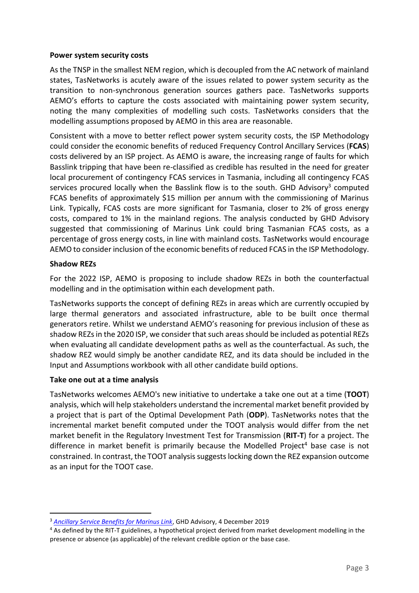#### **Power system security costs**

As the TNSP in the smallest NEM region, which is decoupled from the AC network of mainland states, TasNetworks is acutely aware of the issues related to power system security as the transition to non-synchronous generation sources gathers pace. TasNetworks supports AEMO's efforts to capture the costs associated with maintaining power system security, noting the many complexities of modelling such costs. TasNetworks considers that the modelling assumptions proposed by AEMO in this area are reasonable.

Consistent with a move to better reflect power system security costs, the ISP Methodology could consider the economic benefits of reduced Frequency Control Ancillary Services (**FCAS**) costs delivered by an ISP project. As AEMO is aware, the increasing range of faults for which Basslink tripping that have been re-classified as credible has resulted in the need for greater local procurement of contingency FCAS services in Tasmania, including all contingency FCAS services procured locally when the Basslink flow is to the south. GHD Advisory<sup>3</sup> computed FCAS benefits of approximately \$15 million per annum with the commissioning of Marinus Link. Typically, FCAS costs are more significant for Tasmania, closer to 2% of gross energy costs, compared to 1% in the mainland regions. The analysis conducted by GHD Advisory suggested that commissioning of Marinus Link could bring Tasmanian FCAS costs, as a percentage of gross energy costs, in line with mainland costs. TasNetworks would encourage AEMO to consider inclusion of the economic benefits of reduced FCAS in the ISP Methodology.

# **Shadow REZs**

 $\overline{a}$ 

For the 2022 ISP, AEMO is proposing to include shadow REZs in both the counterfactual modelling and in the optimisation within each development path.

TasNetworks supports the concept of defining REZs in areas which are currently occupied by large thermal generators and associated infrastructure, able to be built once thermal generators retire. Whilst we understand AEMO's reasoning for previous inclusion of these as shadow REZs in the 2020 ISP, we consider that such areas should be included as potential REZs when evaluating all candidate development paths as well as the counterfactual. As such, the shadow REZ would simply be another candidate REZ, and its data should be included in the Input and Assumptions workbook with all other candidate build options.

#### **Take one out at a time analysis**

TasNetworks welcomes AEMO's new initiative to undertake a take one out at a time (**TOOT**) analysis, which will help stakeholders understand the incremental market benefit provided by a project that is part of the Optimal Development Path (**ODP**). TasNetworks notes that the incremental market benefit computed under the TOOT analysis would differ from the net market benefit in the Regulatory Investment Test for Transmission (**RIT-T**) for a project. The difference in market benefit is primarily because the Modelled Project<sup>4</sup> base case is not constrained. In contrast, the TOOT analysis suggests locking down the REZ expansion outcome as an input for the TOOT case.

<sup>3</sup> *[Ancillary Service Benefits for Marinus Link](https://www.marinuslink.com.au/wp-content/uploads/2019/12/attachment-2-GHD-ancillary-services-benefits-report.pdf)*, GHD Advisory, 4 December 2019

<sup>4</sup> As defined by the RIT-T guidelines, a hypothetical project derived from market development modelling in the presence or absence (as applicable) of the relevant credible option or the base case.